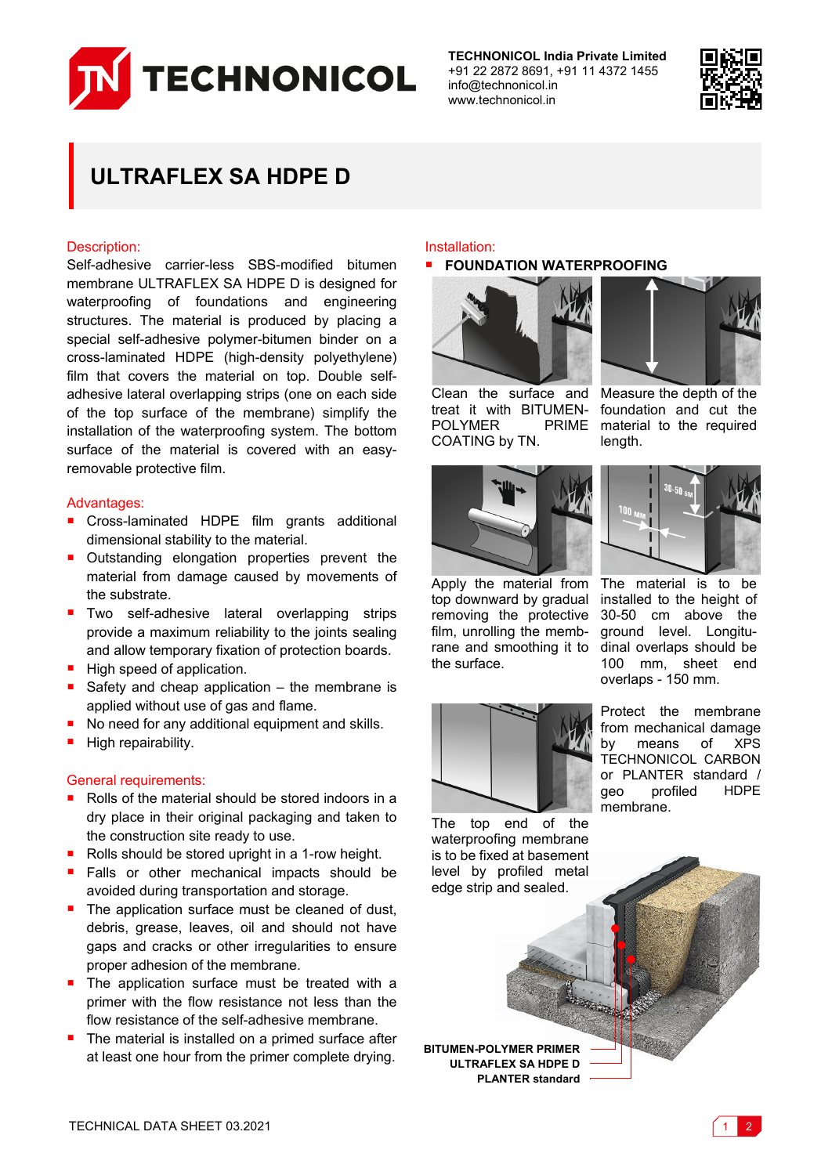

**TECHNONICOL India Private Limited** +91 22 2872 8691, +91 11 4372 1455 info@technonicol.in www.technonicol.in



# **ULTRAFLEX SA HDPE D**

# Description:

Self-adhesive carrier-less SBS-modified bitumen membrane ULTRAFLEX SA HDPE D is designed for waterproofing of foundations and engineering structures. The material is produced by placing a special self-adhesive polymer-bitumen binder on a cross-laminated HDPE (high-density polyethylene) film that covers the material on top. Double selfadhesive lateral overlapping strips (one on each side of the top surface of the membrane) simplify the installation of the waterproofing system. The bottom surface of the material is covered with an easyremovable protective film.

# Advantages:

- Cross-laminated HDPE film grants additional dimensional stability to the material.
- **Outstanding elongation properties prevent the** material from damage caused by movements of the substrate.
- **Two self-adhesive lateral overlapping strips** provide a maximum reliability to the joints sealing and allow temporary fixation of protection boards.
- High speed of application.
- Safety and cheap application the membrane is applied without use of gas and flame.
- No need for any additional equipment and skills.
- High repairability.

#### General requirements:

- Rolls of the material should be stored indoors in a dry place in their original packaging and taken to the construction site ready to use.
- Rolls should be stored upright in a 1-row height.
- **Falls or other mechanical impacts should be** avoided during transportation and storage.
- The application surface must be cleaned of dust, debris, grease, leaves, oil and should not have gaps and cracks or other irregularities to ensure proper adhesion of the membrane.
- The application surface must be treated with a primer with the flow resistance not less than the flow resistance of the self-adhesive membrane.
- The material is installed on a primed surface after at least one hour from the primer complete drying.<br>**BITUMEN-POLYMER PRIMER**<br>**BITUMEN-POLYMER PRIMER**

## Installation:

## **FOUNDATION WATERPROOFING**



treat it with BITUMEN-POLYMER COATING by TN.



Clean the surface and Measure the depth of the foundation and cut the PRIME material to the required length.



Apply the material from top downward by gradual removing the protective film, unrolling the membrane and smoothing it to dinal overlaps should be the surface.



The material is to be installed to the height of 30-50 cm above the ground level. Longitu-100 mm, sheet end overlaps - 150 mm.



Protect the membrane from mechanical damage by means of XPS TECHNONICOL CARBON or PLANTER standard / geo profiled HDPE membrane.

The top end of the waterproofing membrane is to be fixed at basement level by profiled metal edge strip and sealed.

**ULTRAFLEX SA HDPE D PLANTER standard**